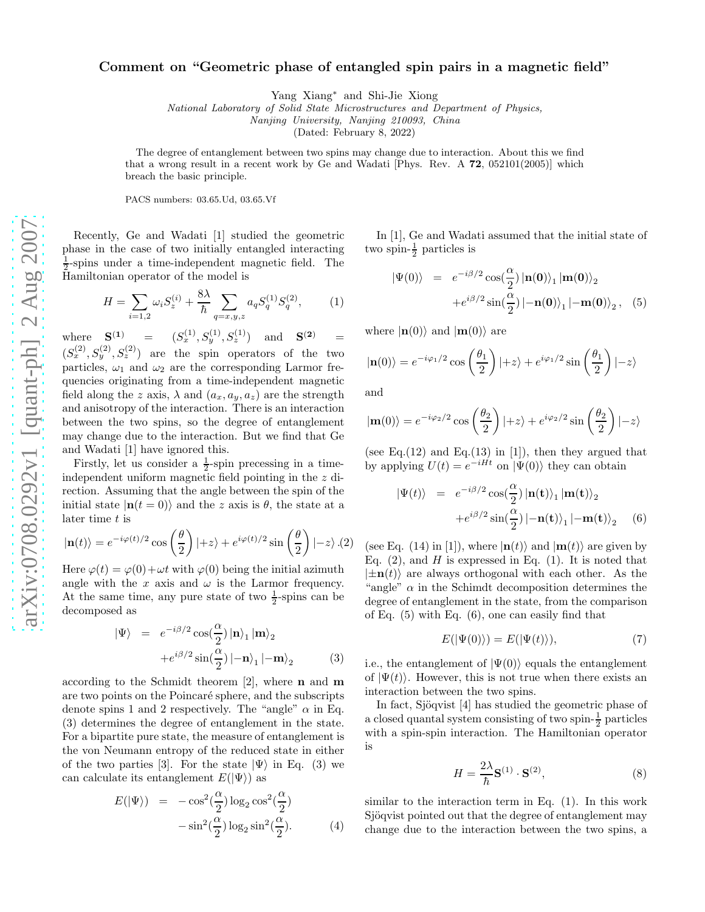## Comment on "Geometric phase of entangled spin pairs in a magnetic field"

Yang Xiang∗ and Shi-Jie Xiong

National Laboratory of Solid State Microstructures and Department of Physics,

Nanjing University, Nanjing 210093, China

(Dated: February 8, 2022)

The degree of entanglement between two spins may change due to interaction. About this we find that a wrong result in a recent work by Ge and Wadati [Phys. Rev.  $A$  72, 052101(2005)] which breach the basic principle.

PACS numbers: 03.65.Ud, 03.65.Vf

Recently, Ge and Wadati [1] studied the geometric phase in the case of two initially entangled interacting  $\frac{1}{2}$ -spins under a time-independent magnetic field. The Hamiltonian operator of the model is

$$
H = \sum_{i=1,2} \omega_i S_z^{(i)} + \frac{8\lambda}{\hbar} \sum_{q=x,y,z} a_q S_q^{(1)} S_q^{(2)},\tag{1}
$$

where  $S^{(1)}$ (1) =  $(S_x^{(1)}, S_y^{(1)}, S_z^{(1)})$  and  $S^{(2)}$  =  $(S_x^{(2)}, S_y^{(2)}, S_z^{(2)})$  are the spin operators of the two particles,  $\omega_1$  and  $\omega_2$  are the corresponding Larmor frequencies originating from a time-independent magnetic field along the z axis,  $\lambda$  and  $(a_x, a_y, a_z)$  are the strength and anisotropy of the interaction. There is an interaction between the two spins, so the degree of entanglement may change due to the interaction. But we find that Ge and Wadati [1] have ignored this.

Firstly, let us consider a  $\frac{1}{2}$ -spin precessing in a timeindependent uniform magnetic field pointing in the z direction. Assuming that the angle between the spin of the initial state  $|\mathbf{n}(t=0)\rangle$  and the z axis is  $\theta$ , the state at a later time  $t$  is

$$
|\mathbf{n}(t)\rangle = e^{-i\varphi(t)/2} \cos\left(\frac{\theta}{2}\right)|+z\rangle + e^{i\varphi(t)/2} \sin\left(\frac{\theta}{2}\right)|-z\rangle \tag{2}
$$

Here  $\varphi(t) = \varphi(0) + \omega t$  with  $\varphi(0)$  being the initial azimuth angle with the x axis and  $\omega$  is the Larmor frequency. At the same time, any pure state of two  $\frac{1}{2}$ -spins can be decomposed as

$$
|\Psi\rangle = e^{-i\beta/2} \cos(\frac{\alpha}{2}) |\mathbf{n}\rangle_1 |\mathbf{m}\rangle_2
$$
  
+  $e^{i\beta/2} \sin(\frac{\alpha}{2}) |\mathbf{-n}\rangle_1 |\mathbf{-m}\rangle_2$  (3)

according to the Schmidt theorem  $[2]$ , where **n** and **m** are two points on the Poincaré sphere, and the subscripts denote spins 1 and 2 respectively. The "angle"  $\alpha$  in Eq. (3) determines the degree of entanglement in the state. For a bipartite pure state, the measure of entanglement is the von Neumann entropy of the reduced state in either of the two parties [3]. For the state  $|\Psi\rangle$  in Eq. (3) we can calculate its entanglement  $E(|\Psi\rangle)$  as

$$
E(|\Psi\rangle) = -\cos^2(\frac{\alpha}{2})\log_2 \cos^2(\frac{\alpha}{2}) -\sin^2(\frac{\alpha}{2})\log_2 \sin^2(\frac{\alpha}{2}).
$$
 (4)

In [1], Ge and Wadati assumed that the initial state of two spin- $\frac{1}{2}$  particles is

$$
|\Psi(0)\rangle = e^{-i\beta/2} \cos(\frac{\alpha}{2}) |\mathbf{n(0)}\rangle_1 |\mathbf{m(0)}\rangle_2
$$

$$
+e^{i\beta/2} \sin(\frac{\alpha}{2}) |\mathbf{-n(0)}\rangle_1 |\mathbf{-m(0)}\rangle_2 , \quad (5)
$$

where  $|\mathbf{n}(0)\rangle$  and  $|\mathbf{m}(0)\rangle$  are

$$
|\mathbf{n}(0)\rangle = e^{-i\varphi_1/2} \cos\left(\frac{\theta_1}{2}\right)|+z\rangle + e^{i\varphi_1/2} \sin\left(\frac{\theta_1}{2}\right)|-z\rangle
$$

and

$$
|\mathbf{m}(0)\rangle = e^{-i\varphi_2/2} \cos\left(\frac{\theta_2}{2}\right)|+z\rangle + e^{i\varphi_2/2} \sin\left(\frac{\theta_2}{2}\right)|-z\rangle
$$

(see Eq.(12) and Eq.(13) in [1]), then they argued that by applying  $U(t) = e^{-iHt}$  on  $|\Psi(0)\rangle$  they can obtain

$$
|\Psi(t)\rangle = e^{-i\beta/2} \cos(\frac{\alpha}{2}) |\mathbf{n(t)}\rangle_1 |\mathbf{m(t)}\rangle_2
$$

$$
+e^{i\beta/2} \sin(\frac{\alpha}{2}) |\mathbf{-n(t)}\rangle_1 |\mathbf{-m(t)}\rangle_2 \quad (6)
$$

(see Eq. (14) in [1]), where  $|\mathbf{n}(t)\rangle$  and  $|\mathbf{m}(t)\rangle$  are given by Eq.  $(2)$ , and H is expressed in Eq.  $(1)$ . It is noted that  $|\pm \mathbf{n}(t)\rangle$  are always orthogonal with each other. As the "angle"  $\alpha$  in the Schimdt decomposition determines the degree of entanglement in the state, from the comparison of Eq. (5) with Eq. (6), one can easily find that

$$
E(|\Psi(0)\rangle) = E(|\Psi(t)\rangle),\tag{7}
$$

i.e., the entanglement of  $|\Psi(0)\rangle$  equals the entanglement of  $|\Psi(t)\rangle$ . However, this is not true when there exists an interaction between the two spins.

In fact, Sjöqvist [4] has studied the geometric phase of a closed quantal system consisting of two spin- $\frac{1}{2}$  particles with a spin-spin interaction. The Hamiltonian operator is

$$
H = \frac{2\lambda}{\hbar} \mathbf{S}^{(1)} \cdot \mathbf{S}^{(2)},\tag{8}
$$

similar to the interaction term in Eq. (1). In this work Sjöqvist pointed out that the degree of entanglement may change due to the interaction between the two spins, a